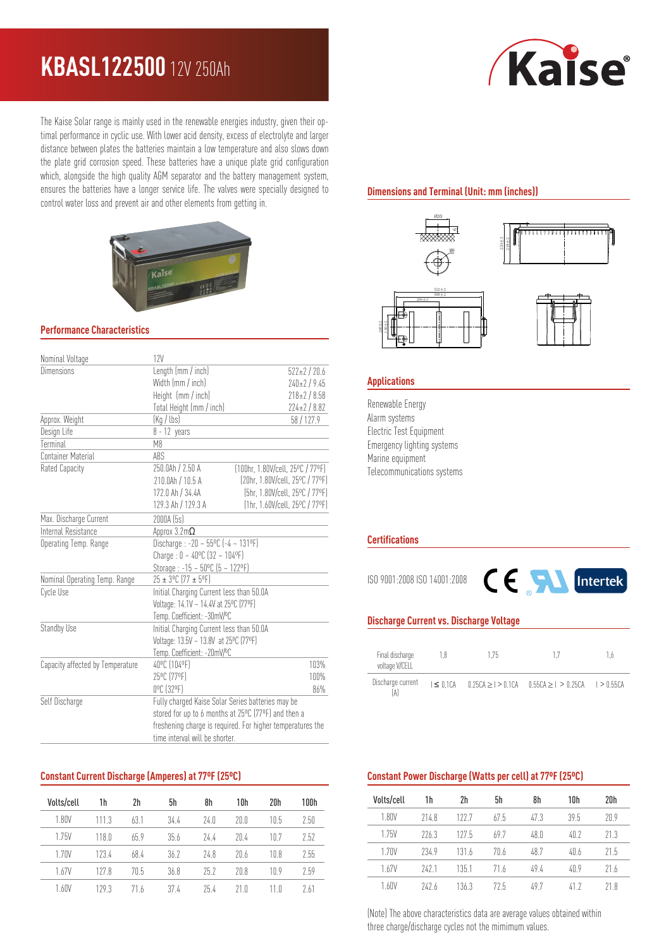# **KBASL122500** 12V 250Ah

The Kaise Solar range is mainly used in the renewable energies industry, given their optimal performance in cyclic use. With lower acid density, excess of electrolyte and larger distance between plates the batteries maintain a low temperature and also slows down the plate grid corrosion speed. These batteries have a unique plate grid configuration which, alongside the high quality AGM separator and the battery management system, ensures the batteries have a longer service life. The valves were specially designed to control water loss and prevent air and other elements from getting in.



#### **Performance Characteristics**

| Nominal Voltage                  | 12V                                                        |                                  |  |  |
|----------------------------------|------------------------------------------------------------|----------------------------------|--|--|
| Dimensions                       | Length (mm / inch)                                         | $522 \pm 2 / 20.6$               |  |  |
|                                  | Width (mm / inch)                                          | $240 \pm 2 / 9.45$               |  |  |
|                                  | Height (mm / inch)                                         | $218 \pm 2 / 8.58$               |  |  |
|                                  | Total Height (mm / inch)                                   | $224 \pm 2 / 8.82$               |  |  |
| Approx. Weight                   | (Kq / lbs)                                                 | 58/127.9                         |  |  |
| Design Life                      | $8 - 12$ years                                             |                                  |  |  |
| Terminal                         | M8                                                         |                                  |  |  |
| Container Material               | ABS                                                        |                                  |  |  |
| Rated Capacity                   | 250.0Ah / 2.50 A                                           | [100hr, 1.80V/cell, 25°C / 77°F] |  |  |
|                                  | 210.0Ah / 10.5 A                                           | (20hr, 1.80V/cell, 25°C / 77°F)  |  |  |
|                                  | 172.0 Ah / 34.4A                                           | (5hr, 1.80V/cell, 25°C / 77°F)   |  |  |
|                                  | 129.3 Ah / 129.3 A                                         | [1hr, 1.60V/cell, 25°C / 77°F]   |  |  |
| Max. Discharge Current           | 2000A (5s)                                                 |                                  |  |  |
| Internal Resistance              | Approx $3.2$ m $\Omega$                                    |                                  |  |  |
| Operating Temp. Range            | Discharge: -20 ~ 55°C (-4 ~ 131°F)                         |                                  |  |  |
|                                  | Charge: $0 - 40^{\circ}C$ (32 ~ 104°F)                     |                                  |  |  |
|                                  | Storage: -15 ~ 50°C (5 ~ 122°F)                            |                                  |  |  |
| Nominal Operating Temp. Range    | 25 ± 3°C (77 ± 5°F)                                        |                                  |  |  |
| Cycle Use                        | Initial Charging Current less than 50.0A                   |                                  |  |  |
|                                  | Voltage: 14.1V ~ 14.4V at 25°C (77°F)                      |                                  |  |  |
|                                  | Temp. Coefficient: -30mV/°C                                |                                  |  |  |
| Standby Use                      | Initial Charging Current less than 50.0A                   |                                  |  |  |
|                                  | Voltage: 13.5V ~ 13.8V at 25°C (77°F)                      |                                  |  |  |
|                                  | Temp. Coefficient: - 20mV/ºC                               |                                  |  |  |
| Capacity affected by Temperature | 40°C (104°F)                                               | 103%                             |  |  |
|                                  | 25°C (77°F)                                                | 100%                             |  |  |
|                                  | 0°C (32°F)                                                 | 86%                              |  |  |
| Self Discharge                   | Fully charged Kaise Solar Series batteries may be          |                                  |  |  |
|                                  | stored for up to 6 months at 25°C (77°F) and then a        |                                  |  |  |
|                                  | freshening charge is required. For higher temperatures the |                                  |  |  |
|                                  | time interval will be shorter.                             |                                  |  |  |

#### **Constant Current Discharge (Amperes) at 77ºF (25ºC)**

| Volts/cell | 1h    | 2h   | 5h   | 8h   | 10h  | 20h  | 100h |
|------------|-------|------|------|------|------|------|------|
| 1.80V      | 1113  | 63.1 | 34.4 | 74.0 | 20 O | 10.5 | 2.50 |
| 1.75V      | 118.0 | 65.9 | 35.6 | 74.4 | 20.4 | 10.7 | 2.52 |
| 1.70V      | 1234  | 68.4 | 36.2 | 74.8 | 20.6 | 10.8 | 2.55 |
| 1.67V      | 1278  | 70.5 | 36.8 | 75.7 | 20R  | 10.9 | 2.59 |
| 1.60V      | 1293  | 71 h | 37.4 | 75.4 | 21 N |      | 2 61 |

# Kaise

# **Dimensions and Terminal (Unit: mm (inches))**



#### **Applications**

Renewable Energy Alarm systems Electric Test Equipment Emergency lighting systems Marine equipment Telecommunications systems

#### **Certifications**

ISO 9001:2008 ISO 14001:2008



#### **Discharge Current vs. Discharge Voltage**

| Final discharge<br>voltage V/CELL | 18             | 1.75 |                                                             | $16-$ |
|-----------------------------------|----------------|------|-------------------------------------------------------------|-------|
| Discharge current                 | $I \leq 0.1CA$ |      | $0.25CA \ge 1$ > 0.1CA $0.55CA \ge 1$ > 0.25CA $1$ > 0.55CA |       |

#### **Constant Power Discharge (Watts per cell) at 77ºF (25ºC)**

| Volts/cell       | 1h    | 2h    | 5h   | 8h    | 10h  | 20h  |
|------------------|-------|-------|------|-------|------|------|
| 1.80V            | 714.8 | 1227  | 67.5 | 47.3  | 395  | 209  |
| 1.75V            | 7763  | 1275  | 697  | 48.0  | 40.7 | 21.3 |
| 1 7 N V          | 2349  | 1316  | 70.6 | 48.7  | 40.6 | 21.5 |
| 167V             | 7471  | 135.1 | 71 6 | 494   | 409  | 71.6 |
| 1 <sub>60V</sub> | 747h  | 136.3 | 725  | 7 / ۸ |      | 21 R |

(Note) The above characteristics data are average values obtained within three charge/discharge cycles not the mimimum values.